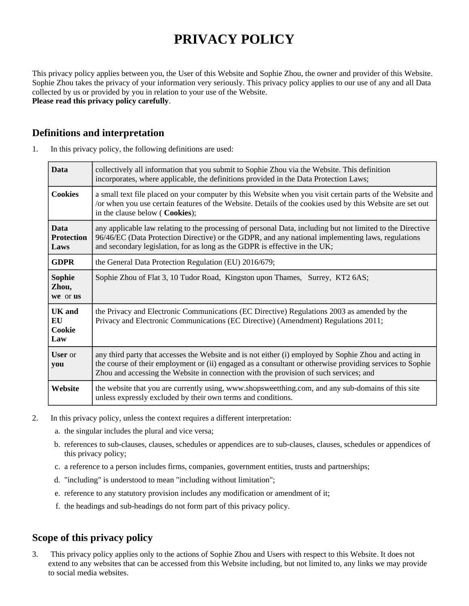# **PRIVACY POLICY**

This privacy policy applies between you, the User of this Website and Sophie Zhou, the owner and provider of this Website. Sophie Zhou takes the privacy of your information very seriously. This privacy policy applies to our use of any and all Data collected by us or provided by you in relation to your use of the Website. **Please read this privacy policy carefully**.

## **Definitions and interpretation**

| 1. | In this privacy policy, the following definitions are used: |  |  |
|----|-------------------------------------------------------------|--|--|
|----|-------------------------------------------------------------|--|--|

| <b>Data</b>                              | collectively all information that you submit to Sophie Zhou via the Website. This definition<br>incorporates, where applicable, the definitions provided in the Data Protection Laws;                                                                                                                      |  |
|------------------------------------------|------------------------------------------------------------------------------------------------------------------------------------------------------------------------------------------------------------------------------------------------------------------------------------------------------------|--|
| <b>Cookies</b>                           | a small text file placed on your computer by this Website when you visit certain parts of the Website and<br>or when you use certain features of the Website. Details of the cookies used by this Website are set out<br>in the clause below (Cookies);                                                    |  |
| <b>Data</b><br><b>Protection</b><br>Laws | any applicable law relating to the processing of personal Data, including but not limited to the Directive<br>96/46/EC (Data Protection Directive) or the GDPR, and any national implementing laws, regulations<br>and secondary legislation, for as long as the GDPR is effective in the UK;              |  |
| <b>GDPR</b>                              | the General Data Protection Regulation (EU) 2016/679;                                                                                                                                                                                                                                                      |  |
| <b>Sophie</b><br>Zhou,<br>we or us       | Sophie Zhou of Flat 3, 10 Tudor Road, Kingston upon Thames, Surrey, KT2 6AS;                                                                                                                                                                                                                               |  |
| <b>UK</b> and<br>EU<br>Cookie<br>Law     | the Privacy and Electronic Communications (EC Directive) Regulations 2003 as amended by the<br>Privacy and Electronic Communications (EC Directive) (Amendment) Regulations 2011;                                                                                                                          |  |
| <b>User</b> or<br>you                    | any third party that accesses the Website and is not either (i) employed by Sophie Zhou and acting in<br>the course of their employment or (ii) engaged as a consultant or otherwise providing services to Sophie<br>Zhou and accessing the Website in connection with the provision of such services; and |  |
| Website                                  | the website that you are currently using, www.shopsweetthing.com, and any sub-domains of this site<br>unless expressly excluded by their own terms and conditions.                                                                                                                                         |  |

- 2. In this privacy policy, unless the context requires a different interpretation:
	- a. the singular includes the plural and vice versa;
	- b. references to sub-clauses, clauses, schedules or appendices are to sub-clauses, clauses, schedules or appendices of this privacy policy;
	- c. a reference to a person includes firms, companies, government entities, trusts and partnerships;
	- d. "including" is understood to mean "including without limitation";
	- e. reference to any statutory provision includes any modification or amendment of it;
	- f. the headings and sub-headings do not form part of this privacy policy.

# **Scope of this privacy policy**

3. This privacy policy applies only to the actions of Sophie Zhou and Users with respect to this Website. It does not extend to any websites that can be accessed from this Website including, but not limited to, any links we may provide to social media websites.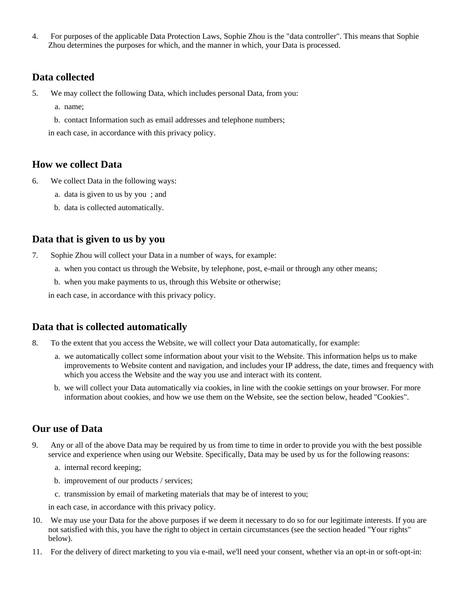4. For purposes of the applicable Data Protection Laws, Sophie Zhou is the "data controller". This means that Sophie Zhou determines the purposes for which, and the manner in which, your Data is processed.

#### **Data collected**

- 5. We may collect the following Data, which includes personal Data, from you:
	- a. name;
	- b. contact Information such as email addresses and telephone numbers;

in each case, in accordance with this privacy policy.

#### **How we collect Data**

- 6. We collect Data in the following ways:
	- a. data is given to us by you ; and
	- b. data is collected automatically.

#### **Data that is given to us by you**

- 7. Sophie Zhou will collect your Data in a number of ways, for example:
	- a. when you contact us through the Website, by telephone, post, e-mail or through any other means;
	- b. when you make payments to us, through this Website or otherwise;

in each case, in accordance with this privacy policy.

#### **Data that is collected automatically**

- 8. To the extent that you access the Website, we will collect your Data automatically, for example:
	- a. we automatically collect some information about your visit to the Website. This information helps us to make improvements to Website content and navigation, and includes your IP address, the date, times and frequency with which you access the Website and the way you use and interact with its content.
	- b. we will collect your Data automatically via cookies, in line with the cookie settings on your browser. For more information about cookies, and how we use them on the Website, see the section below, headed "Cookies".

## **Our use of Data**

- 9. Any or all of the above Data may be required by us from time to time in order to provide you with the best possible service and experience when using our Website. Specifically, Data may be used by us for the following reasons:
	- a. internal record keeping;
	- b. improvement of our products / services;
	- c. transmission by email of marketing materials that may be of interest to you;

in each case, in accordance with this privacy policy.

- 10. We may use your Data for the above purposes if we deem it necessary to do so for our legitimate interests. If you are not satisfied with this, you have the right to object in certain circumstances (see the section headed "Your rights" below).
- 11. For the delivery of direct marketing to you via e-mail, we'll need your consent, whether via an opt-in or soft-opt-in: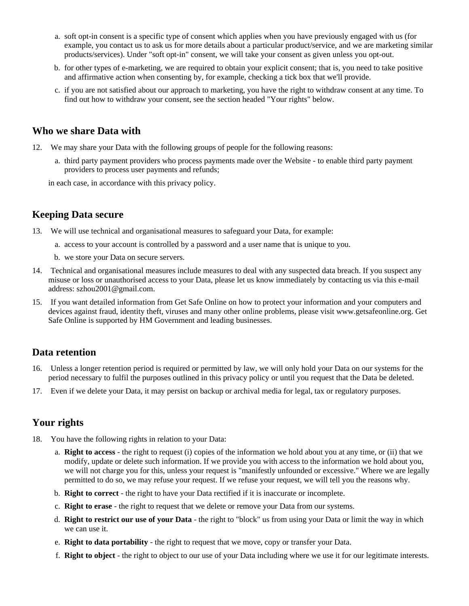- a. soft opt-in consent is a specific type of consent which applies when you have previously engaged with us (for example, you contact us to ask us for more details about a particular product/service, and we are marketing similar products/services). Under "soft opt-in" consent, we will take your consent as given unless you opt-out.
- b. for other types of e-marketing, we are required to obtain your explicit consent; that is, you need to take positive and affirmative action when consenting by, for example, checking a tick box that we'll provide.
- c. if you are not satisfied about our approach to marketing, you have the right to withdraw consent at any time. To find out how to withdraw your consent, see the section headed "Your rights" below.

#### **Who we share Data with**

- 12. We may share your Data with the following groups of people for the following reasons:
	- a. third party payment providers who process payments made over the Website to enable third party payment providers to process user payments and refunds;

in each case, in accordance with this privacy policy.

#### **Keeping Data secure**

- 13. We will use technical and organisational measures to safeguard your Data, for example:
	- a. access to your account is controlled by a password and a user name that is unique to you.
	- b. we store your Data on secure servers.
- 14. Technical and organisational measures include measures to deal with any suspected data breach. If you suspect any misuse or loss or unauthorised access to your Data, please let us know immediately by contacting us via this e-mail address: szhou2001@gmail.com.
- 15. If you want detailed information from Get Safe Online on how to protect your information and your computers and devices against fraud, identity theft, viruses and many other online problems, please visit www.getsafeonline.org. Get Safe Online is supported by HM Government and leading businesses.

#### **Data retention**

- 16. Unless a longer retention period is required or permitted by law, we will only hold your Data on our systems for the period necessary to fulfil the purposes outlined in this privacy policy or until you request that the Data be deleted.
- 17. Even if we delete your Data, it may persist on backup or archival media for legal, tax or regulatory purposes.

#### **Your rights**

- 18. You have the following rights in relation to your Data:
	- a. **Right to access** the right to request (i) copies of the information we hold about you at any time, or (ii) that we modify, update or delete such information. If we provide you with access to the information we hold about you, we will not charge you for this, unless your request is "manifestly unfounded or excessive." Where we are legally permitted to do so, we may refuse your request. If we refuse your request, we will tell you the reasons why.
	- b. **Right to correct** the right to have your Data rectified if it is inaccurate or incomplete.
	- c. **Right to erase** the right to request that we delete or remove your Data from our systems.
	- d. **Right to restrict our use of your Data** the right to "block" us from using your Data or limit the way in which we can use it.
	- e. **Right to data portability** the right to request that we move, copy or transfer your Data.
	- f. **Right to object** the right to object to our use of your Data including where we use it for our legitimate interests.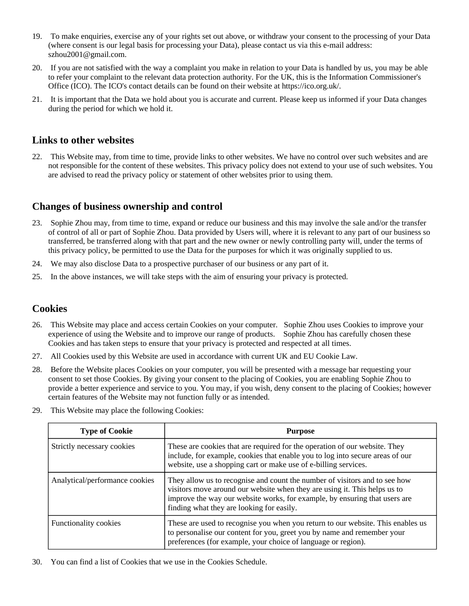- 19. To make enquiries, exercise any of your rights set out above, or withdraw your consent to the processing of your Data (where consent is our legal basis for processing your Data), please contact us via this e-mail address: szhou2001@gmail.com.
- 20. If you are not satisfied with the way a complaint you make in relation to your Data is handled by us, you may be able to refer your complaint to the relevant data protection authority. For the UK, this is the Information Commissioner's Office (ICO). The ICO's contact details can be found on their website at https://ico.org.uk/.
- 21. It is important that the Data we hold about you is accurate and current. Please keep us informed if your Data changes during the period for which we hold it.

## **Links to other websites**

22. This Website may, from time to time, provide links to other websites. We have no control over such websites and are not responsible for the content of these websites. This privacy policy does not extend to your use of such websites. You are advised to read the privacy policy or statement of other websites prior to using them.

## **Changes of business ownership and control**

- 23. Sophie Zhou may, from time to time, expand or reduce our business and this may involve the sale and/or the transfer of control of all or part of Sophie Zhou. Data provided by Users will, where it is relevant to any part of our business so transferred, be transferred along with that part and the new owner or newly controlling party will, under the terms of this privacy policy, be permitted to use the Data for the purposes for which it was originally supplied to us.
- 24. We may also disclose Data to a prospective purchaser of our business or any part of it.
- 25. In the above instances, we will take steps with the aim of ensuring your privacy is protected.

#### **Cookies**

- 26. This Website may place and access certain Cookies on your computer. Sophie Zhou uses Cookies to improve your experience of using the Website and to improve our range of products. Sophie Zhou has carefully chosen these Cookies and has taken steps to ensure that your privacy is protected and respected at all times.
- 27. All Cookies used by this Website are used in accordance with current UK and EU Cookie Law.
- 28. Before the Website places Cookies on your computer, you will be presented with a message bar requesting your consent to set those Cookies. By giving your consent to the placing of Cookies, you are enabling Sophie Zhou to provide a better experience and service to you. You may, if you wish, deny consent to the placing of Cookies; however certain features of the Website may not function fully or as intended.
- 29. This Website may place the following Cookies:

| <b>Type of Cookie</b>          | <b>Purpose</b>                                                                                                                                                                                                                                                                     |
|--------------------------------|------------------------------------------------------------------------------------------------------------------------------------------------------------------------------------------------------------------------------------------------------------------------------------|
| Strictly necessary cookies     | These are cookies that are required for the operation of our website. They<br>include, for example, cookies that enable you to log into secure areas of our<br>website, use a shopping cart or make use of e-billing services.                                                     |
| Analytical/performance cookies | They allow us to recognise and count the number of visitors and to see how<br>visitors move around our website when they are using it. This helps us to<br>improve the way our website works, for example, by ensuring that users are<br>finding what they are looking for easily. |
| <b>Functionality cookies</b>   | These are used to recognise you when you return to our website. This enables us<br>to personalise our content for you, greet you by name and remember your<br>preferences (for example, your choice of language or region).                                                        |

30. You can find a list of Cookies that we use in the Cookies Schedule.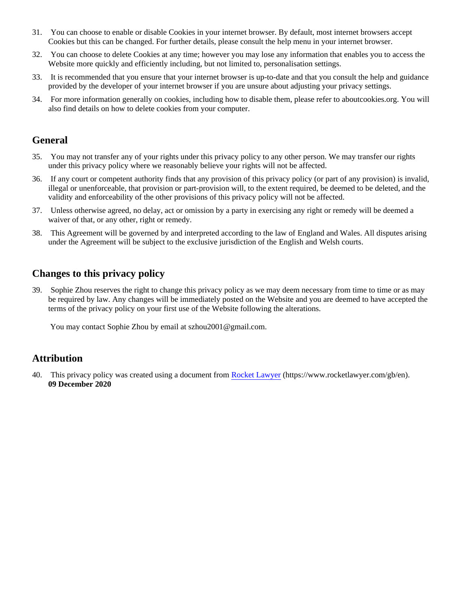- 31. You can choose to enable or disable Cookies in your internet browser. By default, most internet browsers accept Cookies but this can be changed. For further details, please consult the help menu in your internet browser.
- 32. You can choose to delete Cookies at any time; however you may lose any information that enables you to access the Website more quickly and efficiently including, but not limited to, personalisation settings.
- 33. It is recommended that you ensure that your internet browser is up-to-date and that you consult the help and guidance provided by the developer of your internet browser if you are unsure about adjusting your privacy settings.
- 34. For more information generally on cookies, including how to disable them, please refer to aboutcookies.org. You will also find details on how to delete cookies from your computer.

## **General**

- 35. You may not transfer any of your rights under this privacy policy to any other person. We may transfer our rights under this privacy policy where we reasonably believe your rights will not be affected.
- 36. If any court or competent authority finds that any provision of this privacy policy (or part of any provision) is invalid, illegal or unenforceable, that provision or part-provision will, to the extent required, be deemed to be deleted, and the validity and enforceability of the other provisions of this privacy policy will not be affected.
- 37. Unless otherwise agreed, no delay, act or omission by a party in exercising any right or remedy will be deemed a waiver of that, or any other, right or remedy.
- 38. This Agreement will be governed by and interpreted according to the law of England and Wales. All disputes arising under the Agreement will be subject to the exclusive jurisdiction of the English and Welsh courts.

# **Changes to this privacy policy**

39. Sophie Zhou reserves the right to change this privacy policy as we may deem necessary from time to time or as may be required by law. Any changes will be immediately posted on the Website and you are deemed to have accepted the terms of the privacy policy on your first use of the Website following the alterations.

You may contact Sophie Zhou by email at szhou2001@gmail.com.

## **Attribution**

40. This privacy policy was created using a document from [Rocket Lawyer](https://www.rocketlawyer.com/gb/en/) (https://www.rocketlawyer.com/gb/en). **09 December 2020**